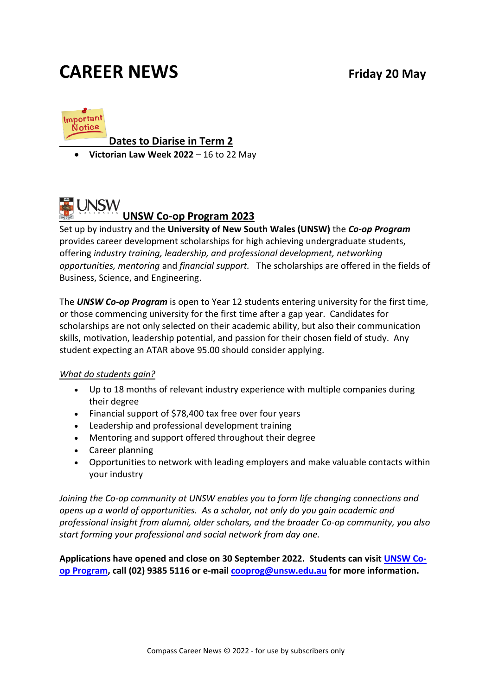## **CAREER NEWS Friday 20 May**



#### **Dates to Diarise in Term 2**

• **Victorian Law Week 2022** – 16 to 22 May

### **UNSW UNSW Co-op Program 2023**

Set up by industry and the **University of New South Wales (UNSW)** the *Co-op Program* provides career development scholarships for high achieving undergraduate students, offering *industry training, leadership, and professional development, networking opportunities, mentoring* and *financial support.* The scholarships are offered in the fields of Business, Science, and Engineering.

The *UNSW Co-op Program* is open to Year 12 students entering university for the first time, or those commencing university for the first time after a gap year. Candidates for scholarships are not only selected on their academic ability, but also their communication skills, motivation, leadership potential, and passion for their chosen field of study. Any student expecting an ATAR above 95.00 should consider applying.

#### *What do students gain?*

- Up to 18 months of relevant industry experience with multiple companies during their degree
- Financial support of \$78,400 tax free over four years
- Leadership and professional development training
- Mentoring and support offered throughout their degree
- Career planning
- Opportunities to network with leading employers and make valuable contacts within your industry

*Joining the Co-op community at UNSW enables you to form life changing connections and opens up a world of opportunities. As a scholar, not only do you gain academic and professional insight from alumni, older scholars, and the broader Co-op community, you also start forming your professional and social network from day one.*

**Applications have opened and close on 30 September 2022. Students can visit [UNSW Co](http://www.coop.unsw.edu.au/future_students/index.html)[op Program,](http://www.coop.unsw.edu.au/future_students/index.html) call (02) 9385 5116 or e-mail [cooprog@unsw.edu.au](mailto:cooprog@unsw.edu.au) for more information.**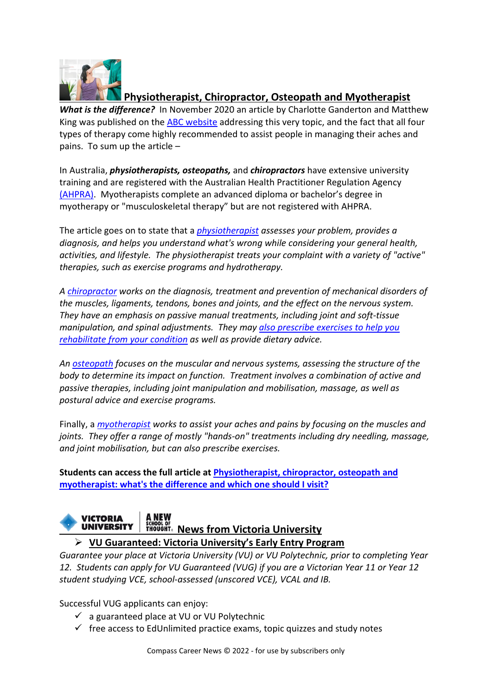

#### **Physiotherapist, Chiropractor, Osteopath and Myotherapist**

*What is the difference?* In November 2020 an article by Charlotte Ganderton and Matthew King was published on the [ABC website](https://www.abc.net.au/news/2020-11-24/physiotherapist-chiropractor-osteopath-myotherapist-difference/12911958) addressing this very topic, and the fact that all four types of therapy come highly recommended to assist people in managing their aches and pains. To sum up the article –

In Australia, *physiotherapists, osteopaths,* and *chiropractors* have extensive university training and are registered with the Australian Health Practitioner Regulation Agency [\(AHPRA\).](https://www.ahpra.gov.au/) Myotherapists complete an advanced diploma or bachelor's degree in myotherapy or "musculoskeletal therapy" but are not registered with AHPRA.

The article goes on to state that a *[physiotherapist](https://choose.physio/what-is-physio) assesses your problem, provides a diagnosis, and helps you understand what's wrong while considering your general health, activities, and lifestyle. The physiotherapist treats your complaint with a variety of "active" therapies, such as exercise programs and hydrotherapy.* 

*A [chiropractor](https://www.wfc.org/website/index.php?option=com_content&view=article&id=90&Itemid=110) works on the diagnosis, treatment and prevention of mechanical disorders of the muscles, ligaments, tendons, bones and joints, and the effect on the nervous system. They have an emphasis on passive manual treatments, including joint and soft-tissue manipulation, and spinal adjustments. They may [also prescribe exercises to help you](https://chiropracticaustralia.org.au/about-chiropractic/)  [rehabilitate from your condition](https://chiropracticaustralia.org.au/about-chiropractic/) as well as provide dietary advice.*

*An [osteopath](https://www.osteopathy.org.au/about-osteopathy) focuses on the muscular and nervous systems, assessing the structure of the body to determine its impact on function. Treatment involves a combination of active and passive therapies, including joint manipulation and mobilisation, massage, as well as postural advice and exercise programs.*

Finally, a *[myotherapist](https://www.myotherapy.org.au/find-a-myotherapist/what-is-myotherapy/) works to assist your aches and pains by focusing on the muscles and joints. They offer a range of mostly "hands-on" treatments including dry needling, massage, and joint mobilisation, but can also prescribe exercises.*

**Students can access the full article at [Physiotherapist, chiropractor, osteopath and](https://www.abc.net.au/news/2020-11-24/physiotherapist-chiropractor-osteopath-myotherapist-difference/12911958)  [myotherapist: what's the difference and which one should I visit?](https://www.abc.net.au/news/2020-11-24/physiotherapist-chiropractor-osteopath-myotherapist-difference/12911958)**

#### **VICTORIA UNIVERSITY THOUGHT®** News from Victoria University

**VU Guaranteed: Victoria University's Early Entry Program**

*Guarantee your place at Victoria University (VU) or VU Polytechnic, prior to completing Year 12. Students can apply for VU Guaranteed (VUG) if you are a Victorian Year 11 or Year 12 student studying VCE, school-assessed (unscored VCE), VCAL and IB.*

Successful VUG applicants can enjoy:

- $\checkmark$  a guaranteed place at VU or VU Polytechnic
- $\checkmark$  free access to EdUnlimited practice exams, topic quizzes and study notes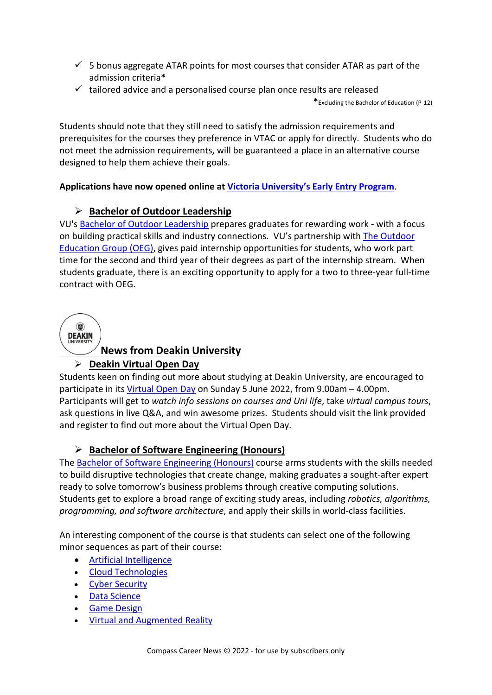- $\checkmark$  5 bonus aggregate ATAR points for most courses that consider ATAR as part of the admission criteria**\***
- $\checkmark$  tailored advice and a personalised course plan once results are released

**\***Excluding the Bachelor of Education (P-12)

Students should note that they still need to satisfy the admission requirements and prerequisites for the courses they preference in VTAC or apply for directly. Students who do not meet the admission requirements, will be guaranteed a place in an alternative course designed to help them achieve their goals.

#### **Applications have now opened online at [Victoria University's Early Entry Program](https://www.vu.edu.au/study-at-vu/how-to-apply/special-admission-programs/vu-guaranteed)**.

#### **Bachelor of Outdoor Leadership**

VU's [Bachelor of Outdoor Leadership](https://www.vu.edu.au/courses/bachelor-of-outdoor-leadership-sbol) prepares graduates for rewarding work - with a focus on building practical skills and industry connections. VU's partnership with The [Outdoor](http://app.campaigns.vu.edu.au/e/er?utm_campaign=VUNEWS_2020&utm_medium=Email&utm_source=Eloqua&utm_content=Emailcta&utm_term=NEWS_HE_2020APR_VUNEWS1&s=756267526&lid=1118&elqTrackId=0809DC62623A8CD4DD6A1BE5C1C1FF56&elq=7af6288c80dc43b3ac2a6f671562b545&elqaid=1577&elqat=1)  [Education Group \(OEG\),](http://app.campaigns.vu.edu.au/e/er?utm_campaign=VUNEWS_2020&utm_medium=Email&utm_source=Eloqua&utm_content=Emailcta&utm_term=NEWS_HE_2020APR_VUNEWS1&s=756267526&lid=1118&elqTrackId=0809DC62623A8CD4DD6A1BE5C1C1FF56&elq=7af6288c80dc43b3ac2a6f671562b545&elqaid=1577&elqat=1) gives paid internship opportunities for students, who work part time for the second and third year of their degrees as part of the internship stream. When students graduate, there is an exciting opportunity to apply for a two to three-year full-time contract with OEG.



#### **News from Deakin University**

#### **Deakin Virtual Open Day**

Students keen on finding out more about studying at Deakin University, are encouraged to participate in its [Virtual Open Day](https://openday.deakin.edu.au/?_ga=2.49390693.2125584649.1595820292-955522596.1595820292) on Sunday 5 June 2022, from 9.00am – 4.00pm. Participants will get to *watch info sessions on courses and Uni life*, take *virtual campus tours*, ask questions in live Q&A, and win awesome prizes. Students should visit the link provided and register to find out more about the Virtual Open Day.

#### **Bachelor of Software Engineering (Honours)**

The [Bachelor of Software Engineering \(Honours\)](https://www.deakin.edu.au/course/bachelor-software-engineering-honours) course arms students with the skills needed to build disruptive technologies that create change, making graduates a sought-after expert ready to solve tomorrow's business problems through creative computing solutions. Students get to explore a broad range of exciting study areas, including *robotics, algorithms, programming, and software architecture*, and apply their skills in world-class facilities.

An interesting component of the course is that students can select one of the following minor sequences as part of their course:

- [Artificial Intelligence](https://www.deakin.edu.au/courses/minor/artificial-intelligence-bachelor-software-engineering-honours)
- [Cloud Technologies](https://www.deakin.edu.au/courses/minor/cloud-technologies-bachelor-software-engineering-honours)
- [Cyber Security](https://www.deakin.edu.au/courses/minor/cyber-security-bachelor-software-engineering-honours)
- [Data Science](https://www.deakin.edu.au/courses/minor/data-science-bachelor-software-engineering-honours)
- [Game Design](https://www.deakin.edu.au/courses/minor/game-design-bachelor-software-engineering-honours)
- [Virtual and Augmented Reality](https://www.deakin.edu.au/courses/minor/virtual-and-augmented-reality-bachelor-software-engineering-honours)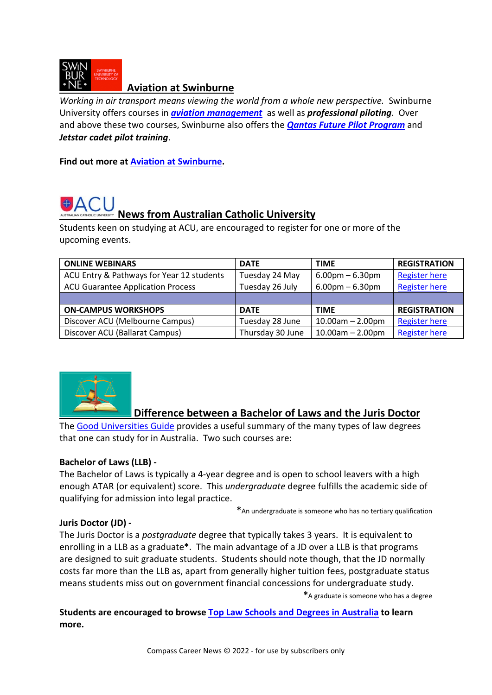

#### **Aviation at Swinburne**

*Working in air transport means viewing the world from a whole new perspective.* Swinburne University offers courses in *[aviation management](https://www.swinburne.edu.au/courses/find-a-course/aviation/aviation-management/)* as well as *professional piloting*. Over and above these two courses, Swinburne also offers the *[Qantas Future Pilot Program](https://www.swinburne.edu.au/courses/find-a-course/aviation/professional-piloting/)* and *Jetstar cadet pilot training*.

**Find out more at [Aviation at Swinburne.](https://www.swinburne.edu.au/courses/find-a-course/aviation/)** 

# **News from Australian Catholic University**

Students keen on studying at ACU, are encouraged to register for one or more of the upcoming events.

| <b>ONLINE WEBINARS</b>                    | <b>DATE</b>      | <b>TIME</b>                       | <b>REGISTRATION</b>  |
|-------------------------------------------|------------------|-----------------------------------|----------------------|
| ACU Entry & Pathways for Year 12 students | Tuesday 24 May   | $6.00 \text{pm} - 6.30 \text{pm}$ | <b>Register here</b> |
| <b>ACU Guarantee Application Process</b>  | Tuesday 26 July  | $6.00 \text{pm} - 6.30 \text{pm}$ | <b>Register here</b> |
|                                           |                  |                                   |                      |
| <b>ON-CAMPUS WORKSHOPS</b>                | <b>DATE</b>      | <b>TIME</b>                       | <b>REGISTRATION</b>  |
| Discover ACU (Melbourne Campus)           | Tuesday 28 June  | $10.00$ am $- 2.00$ pm            | <b>Register here</b> |
| Discover ACU (Ballarat Campus)            | Thursday 30 June | $10.00$ am $- 2.00$ pm            | <b>Register here</b> |



#### **Difference between a Bachelor of Laws and the Juris Doctor**

The [Good Universities Guide](https://gooduniversities.com.au/types-law-degrees-australia) provides a useful summary of the many types of law degrees that one can study for in Australia. Two such courses are:

#### **Bachelor of Laws (LLB) -**

The Bachelor of Laws is typically a 4-year degree and is open to school leavers with a high enough ATAR (or equivalent) score. This *undergraduate* degree fulfills the academic side of qualifying for admission into legal practice.

**\***An undergraduate is someone who has no tertiary qualification

#### **Juris Doctor (JD) -**

The Juris Doctor is a *postgraduate* degree that typically takes 3 years. It is equivalent to enrolling in a LLB as a graduate**\***. The main advantage of a JD over a LLB is that programs are designed to suit graduate students. Students should note though, that the JD normally costs far more than the LLB as, apart from generally higher tuition fees, postgraduate status means students miss out on government financial concessions for undergraduate study.

**\***A graduate is someone who has a degree

**Students are encouraged to browse [Top Law Schools and Degrees in Australia](https://gooduniversities.com.au/top-law-schools-degrees-australia/) to learn more.**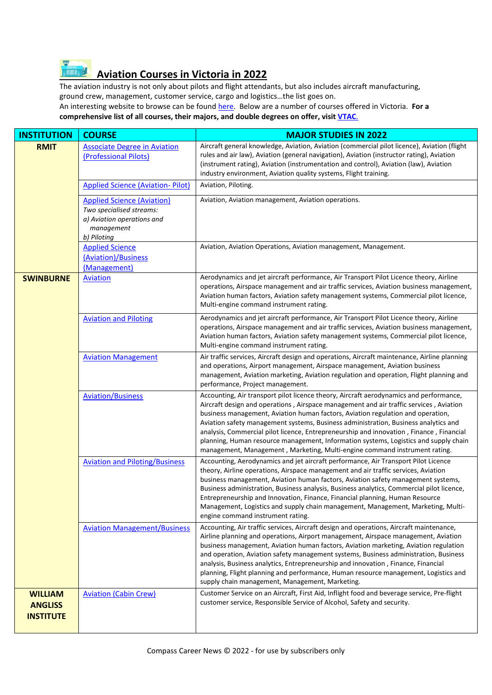#### **Aviation Courses in Victoria in 2022**   $\overline{H}$

The aviation industry is not only about pilots and flight attendants, but also includes aircraft manufacturing, ground crew, management, customer service, cargo and logistics…the list goes on. An interesting website to browse can be found [here.](https://nationalindustryinsights.aisc.net.au/industries/transport/aviation) Below are a number of courses offered in Victoria. **For a comprehensive list of all courses, their majors, and double degrees on offer, visit [VTAC](http://www.vtac.edu.au/)**.

| <b>INSTITUTION</b>                                   | <b>COURSE</b>                                                                                                            | <b>MAJOR STUDIES IN 2022</b>                                                                                                                                                                                                                                                                                                                                                                                                                                                                                                                                                                                                |
|------------------------------------------------------|--------------------------------------------------------------------------------------------------------------------------|-----------------------------------------------------------------------------------------------------------------------------------------------------------------------------------------------------------------------------------------------------------------------------------------------------------------------------------------------------------------------------------------------------------------------------------------------------------------------------------------------------------------------------------------------------------------------------------------------------------------------------|
| <b>RMIT</b>                                          | <b>Associate Degree in Aviation</b><br>(Professional Pilots)                                                             | Aircraft general knowledge, Aviation, Aviation (commercial pilot licence), Aviation (flight<br>rules and air law), Aviation (general navigation), Aviation (instructor rating), Aviation<br>(instrument rating), Aviation (instrumentation and control), Aviation (law), Aviation<br>industry environment, Aviation quality systems, Flight training.                                                                                                                                                                                                                                                                       |
| <b>Applied Science (Aviation- Pilot)</b>             |                                                                                                                          | Aviation, Piloting.                                                                                                                                                                                                                                                                                                                                                                                                                                                                                                                                                                                                         |
|                                                      | <b>Applied Science (Aviation)</b><br>Two specialised streams:<br>a) Aviation operations and<br>management<br>b) Piloting | Aviation, Aviation management, Aviation operations.                                                                                                                                                                                                                                                                                                                                                                                                                                                                                                                                                                         |
|                                                      | <b>Applied Science</b><br>(Aviation)/Business<br>(Management)                                                            | Aviation, Aviation Operations, Aviation management, Management.                                                                                                                                                                                                                                                                                                                                                                                                                                                                                                                                                             |
| <b>SWINBURNE</b>                                     | <b>Aviation</b>                                                                                                          | Aerodynamics and jet aircraft performance, Air Transport Pilot Licence theory, Airline<br>operations, Airspace management and air traffic services, Aviation business management,<br>Aviation human factors, Aviation safety management systems, Commercial pilot licence,<br>Multi-engine command instrument rating.                                                                                                                                                                                                                                                                                                       |
|                                                      | <b>Aviation and Piloting</b>                                                                                             | Aerodynamics and jet aircraft performance, Air Transport Pilot Licence theory, Airline<br>operations, Airspace management and air traffic services, Aviation business management,<br>Aviation human factors, Aviation safety management systems, Commercial pilot licence,<br>Multi-engine command instrument rating.                                                                                                                                                                                                                                                                                                       |
|                                                      | <b>Aviation Management</b>                                                                                               | Air traffic services, Aircraft design and operations, Aircraft maintenance, Airline planning<br>and operations, Airport management, Airspace management, Aviation business<br>management, Aviation marketing, Aviation regulation and operation, Flight planning and<br>performance, Project management.                                                                                                                                                                                                                                                                                                                    |
|                                                      | <b>Aviation/Business</b>                                                                                                 | Accounting, Air transport pilot licence theory, Aircraft aerodynamics and performance,<br>Aircraft design and operations, Airspace management and air traffic services, Aviation<br>business management, Aviation human factors, Aviation regulation and operation,<br>Aviation safety management systems, Business administration, Business analytics and<br>analysis, Commercial pilot licence, Entrepreneurship and innovation, Finance, Financial<br>planning, Human resource management, Information systems, Logistics and supply chain<br>management, Management, Marketing, Multi-engine command instrument rating. |
|                                                      | <b>Aviation and Piloting/Business</b>                                                                                    | Accounting, Aerodynamics and jet aircraft performance, Air Transport Pilot Licence<br>theory, Airline operations, Airspace management and air traffic services, Aviation<br>business management, Aviation human factors, Aviation safety management systems,<br>Business administration, Business analysis, Business analytics, Commercial pilot licence,<br>Entrepreneurship and Innovation, Finance, Financial planning, Human Resource<br>Management, Logistics and supply chain management, Management, Marketing, Multi-<br>engine command instrument rating.                                                          |
|                                                      | <b>Aviation Management/Business</b>                                                                                      | Accounting, Air traffic services, Aircraft design and operations, Aircraft maintenance,<br>Airline planning and operations, Airport management, Airspace management, Aviation<br>business management, Aviation human factors, Aviation marketing, Aviation regulation<br>and operation, Aviation safety management systems, Business administration, Business<br>analysis, Business analytics, Entrepreneurship and innovation, Finance, Financial<br>planning, Flight planning and performance, Human resource management, Logistics and<br>supply chain management, Management, Marketing.                                |
| <b>WILLIAM</b><br><b>ANGLISS</b><br><b>INSTITUTE</b> | <b>Aviation (Cabin Crew)</b>                                                                                             | Customer Service on an Aircraft, First Aid, Inflight food and beverage service, Pre-flight<br>customer service, Responsible Service of Alcohol, Safety and security.                                                                                                                                                                                                                                                                                                                                                                                                                                                        |